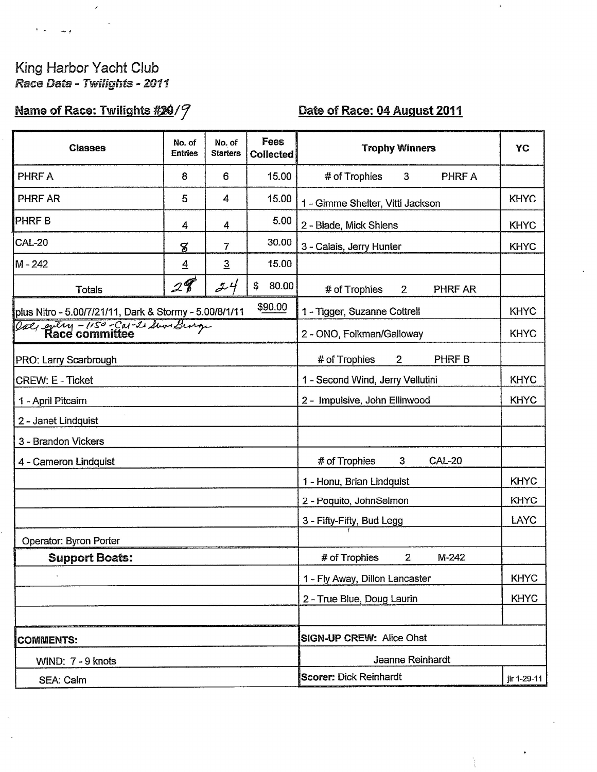## King Harbor Yacht Club Race Data - Twilights - 2011

Z

ر. پ

## Name of Race: Twilights #20/9

## Date of Race: 04 August 2011

 $\cdot$ 

÷,

| <b>Classes</b>                                         | No. of<br><b>Entries</b>      | No. of<br><b>Starters</b> | Fees<br><b>Collected</b> | <b>Trophy Winners</b>                           | YC          |  |  |
|--------------------------------------------------------|-------------------------------|---------------------------|--------------------------|-------------------------------------------------|-------------|--|--|
| PHRF A                                                 | 8                             | 6                         | 15.00                    | # of Trophies<br>$\mathbf{3}$<br>PHRF A         |             |  |  |
| <b>PHRF AR</b>                                         | 5                             | 4                         | 15.00                    | 1 - Gimme Shelter, Vitti Jackson                | <b>KHYC</b> |  |  |
| <b>PHRFB</b>                                           | 4                             | 4                         | 5.00                     | 2 - Blade, Mick Shlens                          | <b>KHYC</b> |  |  |
| <b>CAL-20</b>                                          | 8                             | 7                         | 30.00                    | 3 - Calais, Jerry Hunter                        | <b>KHYC</b> |  |  |
| $M - 242$                                              | $\overline{4}$                | $\overline{3}$            | 15.00                    |                                                 |             |  |  |
| <b>Totals</b>                                          | $\mathscr{Q}$                 | 24                        | \$<br>80.00              | # of Trophies<br>PHRF AR<br>$2^{\circ}$         |             |  |  |
| plus Nitro - 5.00/7/21/11, Dark & Stormy - 5.00/8/1/11 |                               |                           | \$90.00                  | 1 - Tigger, Suzanne Cottrell                    | <b>KHYC</b> |  |  |
| Oal, every - 150 - Cal-1 Sun George                    |                               |                           |                          | 2 - ONO, Folkman/Galloway                       | <b>KHYC</b> |  |  |
| PRO: Larry Scarbrough                                  |                               |                           |                          | # of Trophies<br>PHRF B<br>$\mathbf{2}$         |             |  |  |
| <b>CREW: E - Ticket</b>                                |                               |                           |                          | <b>KHYC</b><br>1 - Second Wind, Jerry Vellutini |             |  |  |
| 1 - April Pitcairn                                     | 2 - Impulsive, John Ellinwood |                           |                          |                                                 | <b>KHYC</b> |  |  |
| 2 - Janet Lindquist                                    |                               |                           |                          |                                                 |             |  |  |
| 3 - Brandon Vickers                                    |                               |                           |                          |                                                 |             |  |  |
| 4 - Cameron Lindquist                                  |                               |                           |                          | # of Trophies<br>3<br><b>CAL-20</b>             |             |  |  |
|                                                        |                               |                           |                          | 1 - Honu, Brian Lindquist                       | <b>KHYC</b> |  |  |
|                                                        |                               |                           |                          | 2 - Poquito, JohnSelmon                         | <b>KHYC</b> |  |  |
|                                                        |                               |                           |                          | 3 - Fifty-Fifty, Bud Legg                       | LAYC        |  |  |
| Operator: Byron Porter                                 |                               |                           |                          |                                                 |             |  |  |
| <b>Support Boats:</b>                                  |                               |                           |                          | $\overline{2}$<br>$M-242$<br># of Trophies      |             |  |  |
|                                                        |                               |                           |                          | 1 - Fly Away, Dillon Lancaster                  | <b>KHYC</b> |  |  |
|                                                        |                               |                           |                          | 2 - True Blue, Doug Laurin                      | <b>KHYC</b> |  |  |
|                                                        |                               |                           |                          |                                                 |             |  |  |
| <b>COMMENTS:</b>                                       |                               |                           |                          | <b>SIGN-UP CREW: Alice Ohst</b>                 |             |  |  |
| WIND: 7 - 9 knots                                      |                               |                           |                          | Jeanne Reinhardt                                |             |  |  |
| SEA: Calm                                              |                               |                           |                          | <b>Scorer: Dick Reinhardt</b>                   | jir 1-29-11 |  |  |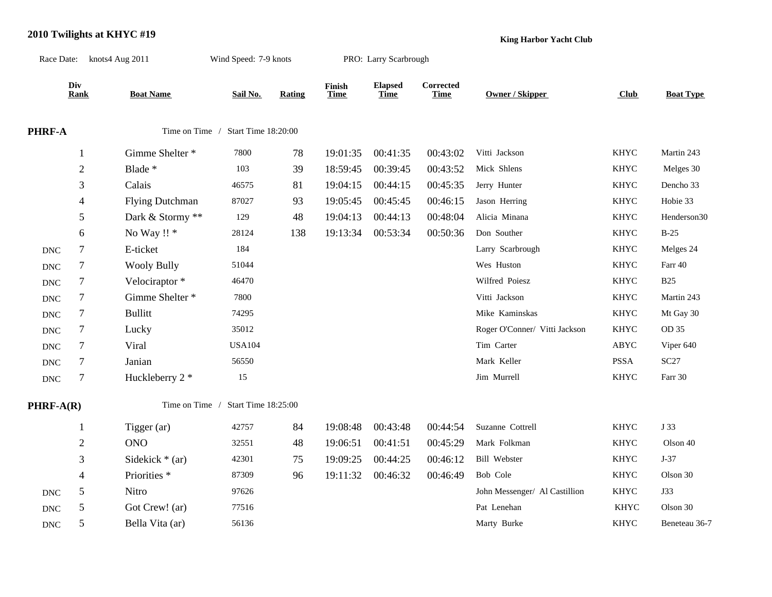## **2010 Twilights at KHYC #19**

**King Harbor Yacht Club**

|                      |                  | Race Date: knots4 Aug 2011 | Wind Speed: 7-9 knots              |        |                       | PRO: Larry Scarbrough         |                          |                               |             |                  |
|----------------------|------------------|----------------------------|------------------------------------|--------|-----------------------|-------------------------------|--------------------------|-------------------------------|-------------|------------------|
|                      | Div<br>Rank      | <b>Boat Name</b>           | Sail No.                           | Rating | Finish<br><b>Time</b> | <b>Elapsed</b><br><b>Time</b> | Corrected<br><b>Time</b> | Owner / Skipper               | Club        | <b>Boat Type</b> |
| PHRF-A               |                  | Time on Time /             | Start Time 18:20:00                |        |                       |                               |                          |                               |             |                  |
|                      | 1                | Gimme Shelter *            | 7800                               | 78     | 19:01:35              | 00:41:35                      | 00:43:02                 | Vitti Jackson                 | <b>KHYC</b> | Martin 243       |
|                      | $\sqrt{2}$       | Blade *                    | 103                                | 39     | 18:59:45              | 00:39:45                      | 00:43:52                 | Mick Shlens                   | <b>KHYC</b> | Melges 30        |
|                      | 3                | Calais                     | 46575                              | 81     | 19:04:15              | 00:44:15                      | 00:45:35                 | Jerry Hunter                  | <b>KHYC</b> | Dencho 33        |
|                      | 4                | <b>Flying Dutchman</b>     | 87027                              | 93     | 19:05:45              | 00:45:45                      | 00:46:15                 | Jason Herring                 | <b>KHYC</b> | Hobie 33         |
|                      | 5                | Dark & Stormy **           | 129                                | 48     | 19:04:13              | 00:44:13                      | 00:48:04                 | Alicia Minana                 | <b>KHYC</b> | Henderson30      |
|                      | 6                | No Way !! *                | 28124                              | 138    | 19:13:34              | 00:53:34                      | 00:50:36                 | Don Souther                   | <b>KHYC</b> | $B-25$           |
| <b>DNC</b>           | $\boldsymbol{7}$ | E-ticket                   | 184                                |        |                       |                               |                          | Larry Scarbrough              | <b>KHYC</b> | Melges 24        |
| <b>DNC</b>           | $\tau$           | <b>Wooly Bully</b>         | 51044                              |        |                       |                               |                          | Wes Huston                    | <b>KHYC</b> | Farr 40          |
| <b>DNC</b>           | $\tau$           | Velociraptor*              | 46470                              |        |                       |                               |                          | Wilfred Poiesz                | <b>KHYC</b> | <b>B25</b>       |
| <b>DNC</b>           | $\tau$           | Gimme Shelter *            | 7800                               |        |                       |                               |                          | Vitti Jackson                 | KHYC        | Martin 243       |
| $\operatorname{DNC}$ | $\tau$           | <b>Bullitt</b>             | 74295                              |        |                       |                               |                          | Mike Kaminskas                | <b>KHYC</b> | Mt Gay 30        |
| <b>DNC</b>           | $\tau$           | Lucky                      | 35012                              |        |                       |                               |                          | Roger O'Conner/ Vitti Jackson | <b>KHYC</b> | OD 35            |
| $\operatorname{DNC}$ | $\tau$           | Viral                      | <b>USA104</b>                      |        |                       |                               |                          | Tim Carter                    | ABYC        | Viper 640        |
| <b>DNC</b>           | $\tau$           | Janian                     | 56550                              |        |                       |                               |                          | Mark Keller                   | <b>PSSA</b> | $\sc{SC27}$      |
| $\operatorname{DNC}$ | $\tau$           | Huckleberry 2 *            | 15                                 |        |                       |                               |                          | Jim Murrell                   | <b>KHYC</b> | Farr 30          |
| PHRF-A(R)            |                  |                            | Time on Time / Start Time 18:25:00 |        |                       |                               |                          |                               |             |                  |
|                      | 1                | Tigger (ar)                | 42757                              | 84     | 19:08:48              | 00:43:48                      | 00:44:54                 | Suzanne Cottrell              | <b>KHYC</b> | J 33             |
|                      | $\overline{c}$   | <b>ONO</b>                 | 32551                              | 48     | 19:06:51              | 00:41:51                      | 00:45:29                 | Mark Folkman                  | <b>KHYC</b> | Olson 40         |
|                      | 3                | Sidekick $*(ar)$           | 42301                              | 75     | 19:09:25              | 00:44:25                      | 00:46:12                 | <b>Bill Webster</b>           | <b>KHYC</b> | $J-37$           |
|                      | $\overline{4}$   | Priorities <sup>*</sup>    | 87309                              | 96     | 19:11:32              | 00:46:32                      | 00:46:49                 | Bob Cole                      | <b>KHYC</b> | Olson 30         |
| <b>DNC</b>           | 5                | Nitro                      | 97626                              |        |                       |                               |                          | John Messenger/ Al Castillion | <b>KHYC</b> | <b>J33</b>       |
| <b>DNC</b>           | 5                | Got Crew! (ar)             | 77516                              |        |                       |                               |                          | Pat Lenehan                   | <b>KHYC</b> | Olson 30         |
| $\operatorname{DNC}$ | 5                | Bella Vita (ar)            | 56136                              |        |                       |                               |                          | Marty Burke                   | <b>KHYC</b> | Beneteau 36-7    |
|                      |                  |                            |                                    |        |                       |                               |                          |                               |             |                  |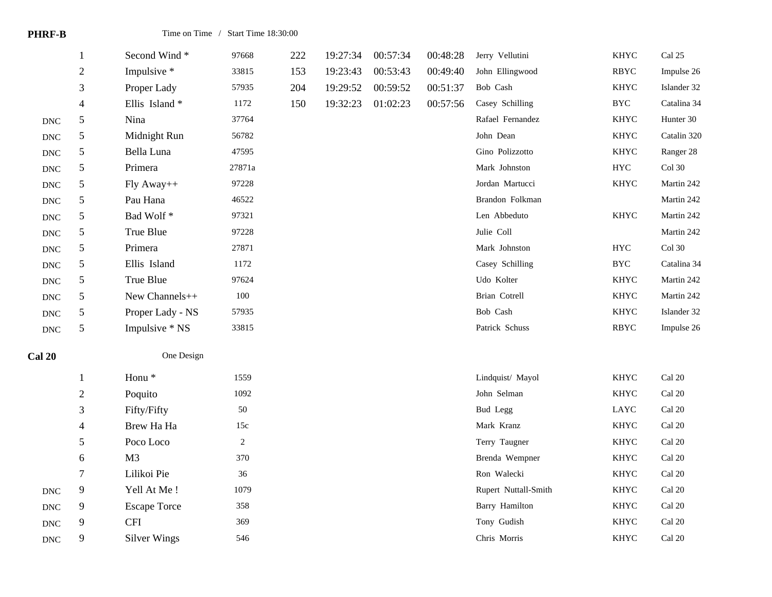| <b>PHRF-B</b>             |                          |                     | Time on Time / Start Time 18:30:00 |     |          |          |          |                      |             |                         |
|---------------------------|--------------------------|---------------------|------------------------------------|-----|----------|----------|----------|----------------------|-------------|-------------------------|
|                           | 1                        | Second Wind*        | 97668                              | 222 | 19:27:34 | 00:57:34 | 00:48:28 | Jerry Vellutini      | <b>KHYC</b> | Cal 25                  |
|                           | $\mathbf{2}$             | Impulsive *         | 33815                              | 153 | 19:23:43 | 00:53:43 | 00:49:40 | John Ellingwood      | <b>RBYC</b> | Impulse 26              |
|                           | 3                        | Proper Lady         | 57935                              | 204 | 19:29:52 | 00:59:52 | 00:51:37 | Bob Cash             | <b>KHYC</b> | Islander 32             |
|                           | $\overline{\mathcal{A}}$ | Ellis Island*       | 1172                               | 150 | 19:32:23 | 01:02:23 | 00:57:56 | Casey Schilling      | <b>BYC</b>  | Catalina 34             |
| $\operatorname{DNC}$      | $\mathfrak s$            | Nina                | 37764                              |     |          |          |          | Rafael Fernandez     | <b>KHYC</b> | Hunter 30               |
| $\operatorname{DNC}$      | $\mathfrak s$            | Midnight Run        | 56782                              |     |          |          |          | John Dean            | <b>KHYC</b> | Catalin 320             |
| $\operatorname{DNC}$      | 5                        | Bella Luna          | 47595                              |     |          |          |          | Gino Polizzotto      | <b>KHYC</b> | Ranger 28               |
| $\operatorname{DNC}$      | 5                        | Primera             | 27871a                             |     |          |          |          | Mark Johnston        | ${\rm HYC}$ | Col $30$                |
| $\operatorname{DNC}$      | 5                        | Fly Away++          | 97228                              |     |          |          |          | Jordan Martucci      | <b>KHYC</b> | Martin 242              |
| $\operatorname{DNC}$      | 5                        | Pau Hana            | 46522                              |     |          |          |          | Brandon Folkman      |             | Martin 242              |
| $\operatorname{DNC}$      | $\mathfrak s$            | Bad Wolf*           | 97321                              |     |          |          |          | Len Abbeduto         | KHYC        | Martin 242              |
| $\operatorname{DNC}$      | 5                        | True Blue           | 97228                              |     |          |          |          | Julie Coll           |             | Martin 242              |
| $\operatorname{DNC}$      | 5                        | Primera             | 27871                              |     |          |          |          | Mark Johnston        | ${\rm HYC}$ | Col $30\,$              |
| $\operatorname{DNC}$      | 5                        | Ellis Island        | 1172                               |     |          |          |          | Casey Schilling      | <b>BYC</b>  | Catalina 34             |
| $\operatorname{DNC}$      | 5                        | True Blue           | 97624                              |     |          |          |          | Udo Kolter           | <b>KHYC</b> | Martin 242              |
| $\operatorname{DNC}$      | 5                        | New Channels++      | 100                                |     |          |          |          | Brian Cotrell        | <b>KHYC</b> | Martin 242              |
| $\operatorname{DNC}$      | 5                        | Proper Lady - NS    | 57935                              |     |          |          |          | Bob Cash             | <b>KHYC</b> | Islander 32             |
| $\operatorname{DNC}$      | $\mathfrak s$            | Impulsive * NS      | 33815                              |     |          |          |          | Patrick Schuss       | <b>RBYC</b> | Impulse 26              |
| <b>Cal 20</b>             |                          | One Design          |                                    |     |          |          |          |                      |             |                         |
|                           | $\mathbf{1}$             | Honu <sup>*</sup>   | 1559                               |     |          |          |          | Lindquist/ Mayol     | KHYC        | $\operatorname{Cal}$ 20 |
|                           | $\mathbf{2}$             | Poquito             | 1092                               |     |          |          |          | John Selman          | <b>KHYC</b> | Cal 20                  |
|                           | 3                        | Fifty/Fifty         | 50                                 |     |          |          |          | Bud Legg             | LAYC        | Cal 20                  |
|                           | 4                        | Brew Ha Ha          | 15c                                |     |          |          |          | Mark Kranz           | KHYC        | Cal 20                  |
|                           | 5                        | Poco Loco           | $\overline{2}$                     |     |          |          |          | Terry Taugner        | <b>KHYC</b> | Cal 20                  |
|                           | 6                        | M <sub>3</sub>      | 370                                |     |          |          |          | Brenda Wempner       | <b>KHYC</b> | Cal 20                  |
|                           | $\boldsymbol{7}$         | Lilikoi Pie         | 36                                 |     |          |          |          | Ron Walecki          | <b>KHYC</b> | Cal 20                  |
| $\ensuremath{\text{DNC}}$ | 9                        | Yell At Me!         | 1079                               |     |          |          |          | Rupert Nuttall-Smith | KHYC        | $\operatorname{Cal}$ 20 |
| $\operatorname{DNC}$      | 9                        | <b>Escape Torce</b> | 358                                |     |          |          |          | Barry Hamilton       | <b>KHYC</b> | Cal 20                  |
| $\operatorname{DNC}$      | 9                        | <b>CFI</b>          | 369                                |     |          |          |          | Tony Gudish          | KHYC        | Cal 20                  |
| $\operatorname{DNC}$      | 9                        | <b>Silver Wings</b> | 546                                |     |          |          |          | Chris Morris         | <b>KHYC</b> | Cal 20                  |